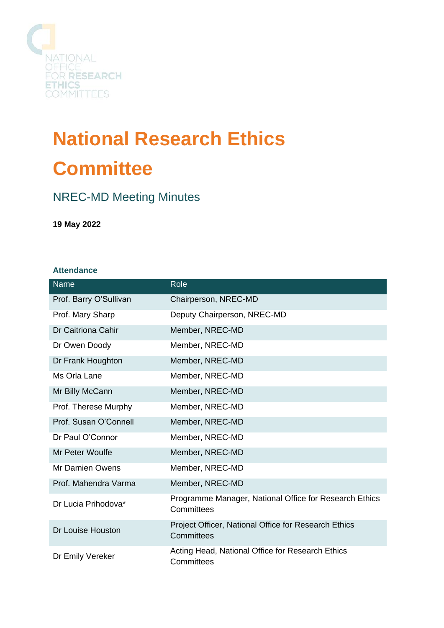

# **National Research Ethics Committee**

## NREC-MD Meeting Minutes

**19 May 2022**

#### **Attendance**

| <b>Name</b>            | Role                                                                 |
|------------------------|----------------------------------------------------------------------|
| Prof. Barry O'Sullivan | Chairperson, NREC-MD                                                 |
| Prof. Mary Sharp       | Deputy Chairperson, NREC-MD                                          |
| Dr Caitriona Cahir     | Member, NREC-MD                                                      |
| Dr Owen Doody          | Member, NREC-MD                                                      |
| Dr Frank Houghton      | Member, NREC-MD                                                      |
| Ms Orla Lane           | Member, NREC-MD                                                      |
| Mr Billy McCann        | Member, NREC-MD                                                      |
| Prof. Therese Murphy   | Member, NREC-MD                                                      |
| Prof. Susan O'Connell  | Member, NREC-MD                                                      |
| Dr Paul O'Connor       | Member, NREC-MD                                                      |
| Mr Peter Woulfe        | Member, NREC-MD                                                      |
| Mr Damien Owens        | Member, NREC-MD                                                      |
| Prof. Mahendra Varma   | Member, NREC-MD                                                      |
| Dr Lucia Prihodova*    | Programme Manager, National Office for Research Ethics<br>Committees |
| Dr Louise Houston      | Project Officer, National Office for Research Ethics<br>Committees   |
| Dr Emily Vereker       | Acting Head, National Office for Research Ethics<br>Committees       |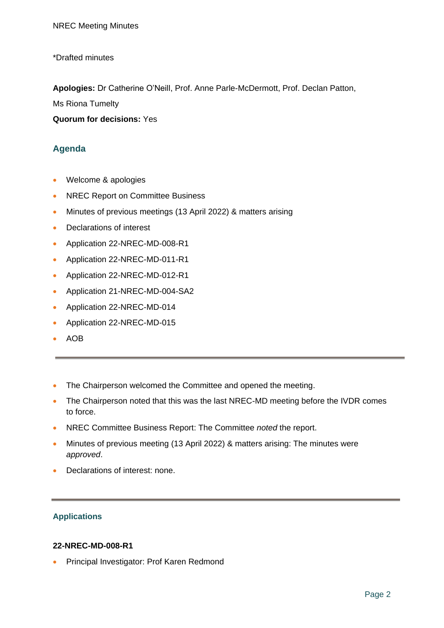\*Drafted minutes

**Apologies:** Dr Catherine O'Neill, Prof. Anne Parle-McDermott, Prof. Declan Patton,

Ms Riona Tumelty

**Quorum for decisions:** Yes

### **Agenda**

- Welcome & apologies
- NREC Report on Committee Business
- Minutes of previous meetings (13 April 2022) & matters arising
- Declarations of interest
- Application 22-NREC-MD-008-R1
- Application 22-NREC-MD-011-R1
- Application 22-NREC-MD-012-R1
- Application 21-NREC-MD-004-SA2
- Application 22-NREC-MD-014
- Application 22-NREC-MD-015
- AOB
- The Chairperson welcomed the Committee and opened the meeting.
- The Chairperson noted that this was the last NREC-MD meeting before the IVDR comes to force.
- NREC Committee Business Report: The Committee *noted* the report.
- Minutes of previous meeting (13 April 2022) & matters arising: The minutes were *approved*.
- Declarations of interest: none.

#### **Applications**

#### **22-NREC-MD-008-R1**

• Principal Investigator: Prof Karen Redmond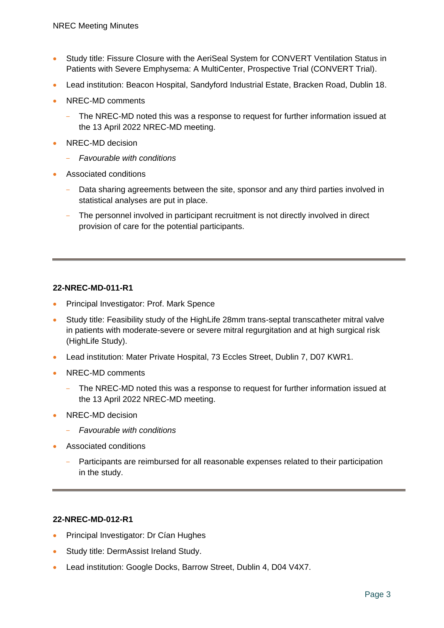- Study title: Fissure Closure with the AeriSeal System for CONVERT Ventilation Status in Patients with Severe Emphysema: A MultiCenter, Prospective Trial (CONVERT Trial).
- Lead institution: Beacon Hospital, Sandyford Industrial Estate, Bracken Road, Dublin 18.
- NREC-MD comments
	- The NREC-MD noted this was a response to request for further information issued at the 13 April 2022 NREC-MD meeting.
- NREC-MD decision
	- *Favourable with conditions*
- Associated conditions
	- Data sharing agreements between the site, sponsor and any third parties involved in statistical analyses are put in place.
	- The personnel involved in participant recruitment is not directly involved in direct provision of care for the potential participants.

#### **22-NREC-MD-011-R1**

- Principal Investigator: Prof. Mark Spence
- Study title: Feasibility study of the HighLife 28mm trans-septal transcatheter mitral valve in patients with moderate-severe or severe mitral regurgitation and at high surgical risk (HighLife Study).
- Lead institution: Mater Private Hospital, 73 Eccles Street, Dublin 7, D07 KWR1.
- NREC-MD comments
	- The NREC-MD noted this was a response to request for further information issued at the 13 April 2022 NREC-MD meeting.
- NREC-MD decision
	- *Favourable with conditions*
- Associated conditions
	- Participants are reimbursed for all reasonable expenses related to their participation in the study.

#### **22-NREC-MD-012-R1**

- Principal Investigator: Dr Cían Hughes
- Study title: DermAssist Ireland Study.
- Lead institution: Google Docks, Barrow Street, Dublin 4, D04 V4X7.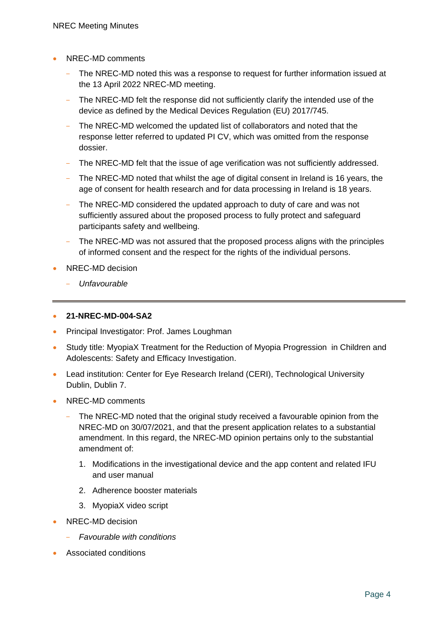- NREC-MD comments
	- The NREC-MD noted this was a response to request for further information issued at the 13 April 2022 NREC-MD meeting.
	- The NREC-MD felt the response did not sufficiently clarify the intended use of the device as defined by the Medical Devices Regulation (EU) 2017/745.
	- The NREC-MD welcomed the updated list of collaborators and noted that the response letter referred to updated PI CV, which was omitted from the response dossier.
	- The NREC-MD felt that the issue of age verification was not sufficiently addressed.
	- The NREC-MD noted that whilst the age of digital consent in Ireland is 16 years, the age of consent for health research and for data processing in Ireland is 18 years.
	- The NREC-MD considered the updated approach to duty of care and was not sufficiently assured about the proposed process to fully protect and safeguard participants safety and wellbeing.
	- The NREC-MD was not assured that the proposed process aligns with the principles of informed consent and the respect for the rights of the individual persons.
- NREC-MD decision
	- *Unfavourable*

#### • **21-NREC-MD-004-SA2**

- Principal Investigator: Prof. James Loughman
- Study title: MyopiaX Treatment for the Reduction of Myopia Progression in Children and Adolescents: Safety and Efficacy Investigation.
- Lead institution: Center for Eve Research Ireland (CERI), Technological University Dublin, Dublin 7.
- NREC-MD comments
	- The NREC-MD noted that the original study received a favourable opinion from the NREC-MD on 30/07/2021, and that the present application relates to a substantial amendment. In this regard, the NREC-MD opinion pertains only to the substantial amendment of:
		- 1. Modifications in the investigational device and the app content and related IFU and user manual
		- 2. Adherence booster materials
		- 3. MyopiaX video script
- NREC-MD decision
	- *Favourable with conditions*
- Associated conditions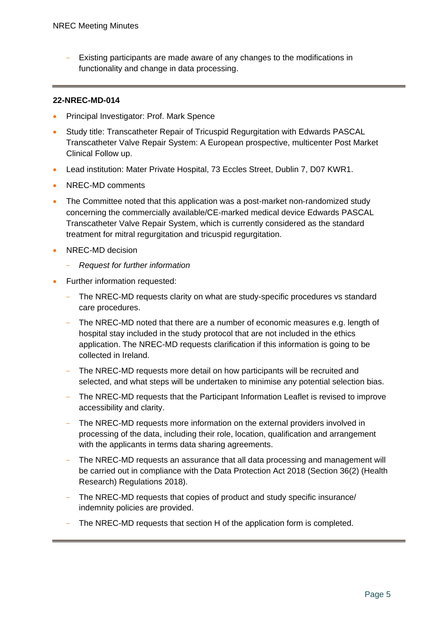Existing participants are made aware of any changes to the modifications in functionality and change in data processing.

#### **22-NREC-MD-014**

- Principal Investigator: Prof. Mark Spence
- Study title: Transcatheter Repair of Tricuspid Regurgitation with Edwards PASCAL Transcatheter Valve Repair System: A European prospective, multicenter Post Market Clinical Follow up.
- Lead institution: Mater Private Hospital, 73 Eccles Street, Dublin 7, D07 KWR1.
- NREC-MD comments
- The Committee noted that this application was a post‐market non‐randomized study concerning the commercially available/CE‐marked medical device Edwards PASCAL Transcatheter Valve Repair System, which is currently considered as the standard treatment for mitral regurgitation and tricuspid regurgitation.
- NREC-MD decision
	- *Request for further information*
- Further information requested:
	- The NREC-MD requests clarity on what are study-specific procedures vs standard care procedures.
	- The NREC-MD noted that there are a number of economic measures e.g. length of hospital stay included in the study protocol that are not included in the ethics application. The NREC-MD requests clarification if this information is going to be collected in Ireland.
	- The NREC-MD requests more detail on how participants will be recruited and selected, and what steps will be undertaken to minimise any potential selection bias.
	- The NREC-MD requests that the Participant Information Leaflet is revised to improve accessibility and clarity.
	- The NREC-MD requests more information on the external providers involved in processing of the data, including their role, location, qualification and arrangement with the applicants in terms data sharing agreements.
	- The NREC-MD requests an assurance that all data processing and management will be carried out in compliance with the Data Protection Act 2018 (Section 36(2) (Health Research) Regulations 2018).
	- The NREC-MD requests that copies of product and study specific insurance/ indemnity policies are provided.
	- The NREC-MD requests that section H of the application form is completed.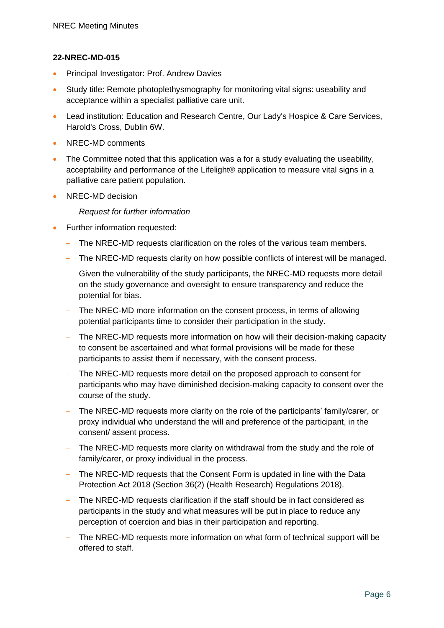#### **22-NREC-MD-015**

- Principal Investigator: Prof. Andrew Davies
- Study title: Remote photoplethysmography for monitoring vital signs: useability and acceptance within a specialist palliative care unit.
- Lead institution: Education and Research Centre, Our Lady's Hospice & Care Services, Harold's Cross, Dublin 6W.
- NREC-MD comments
- The Committee noted that this application was a for a study evaluating the useability, acceptability and performance of the Lifelight® application to measure vital signs in a palliative care patient population.
- NREC-MD decision
	- *Request for further information*
- Further information requested:
	- The NREC-MD requests clarification on the roles of the various team members.
	- The NREC-MD requests clarity on how possible conflicts of interest will be managed.
	- Given the vulnerability of the study participants, the NREC-MD requests more detail on the study governance and oversight to ensure transparency and reduce the potential for bias.
	- The NREC-MD more information on the consent process, in terms of allowing potential participants time to consider their participation in the study.
	- The NREC-MD requests more information on how will their decision-making capacity to consent be ascertained and what formal provisions will be made for these participants to assist them if necessary, with the consent process.
	- The NREC-MD requests more detail on the proposed approach to consent for participants who may have diminished decision-making capacity to consent over the course of the study.
	- The NREC-MD requests more clarity on the role of the participants' family/carer, or proxy individual who understand the will and preference of the participant, in the consent/ assent process.
	- The NREC-MD requests more clarity on withdrawal from the study and the role of family/carer, or proxy individual in the process.
	- The NREC-MD requests that the Consent Form is updated in line with the Data Protection Act 2018 (Section 36(2) (Health Research) Regulations 2018).
	- The NREC-MD requests clarification if the staff should be in fact considered as participants in the study and what measures will be put in place to reduce any perception of coercion and bias in their participation and reporting.
	- The NREC-MD requests more information on what form of technical support will be offered to staff.